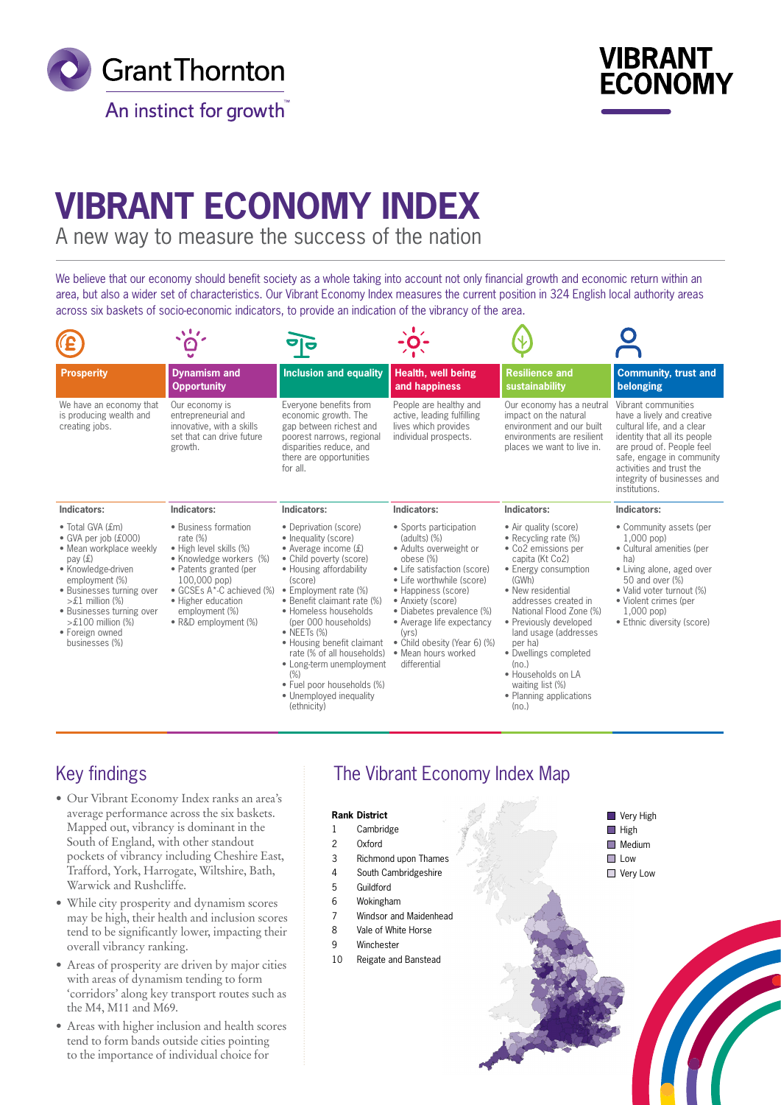



# **VIBRANT ECONOMY INDEX**

A new way to measure the success of the nation

We believe that our economy should benefit society as a whole taking into account not only financial growth and economic return within an area, but also a wider set of characteristics. Our Vibrant Economy Index measures the current position in 324 English local authority areas across six baskets of socio-economic indicators, to provide an indication of the vibrancy of the area.

| <b>Prosperity</b>                                                                                                                                                                                                                                                            | <b>Dynamism and</b><br><b>Opportunity</b>                                                                                                                                                                                     | <b>Inclusion and equality</b>                                                                                                                                                                                                                                                                                                                                                                                                                   | Health, well being<br>and happiness                                                                                                                                                                                                                                                                                                | <b>Resilience and</b><br>sustainability                                                                                                                                                                                                                                                                                                                                        | <b>Community, trust and</b><br>belonging                                                                                                                                                                                                              |
|------------------------------------------------------------------------------------------------------------------------------------------------------------------------------------------------------------------------------------------------------------------------------|-------------------------------------------------------------------------------------------------------------------------------------------------------------------------------------------------------------------------------|-------------------------------------------------------------------------------------------------------------------------------------------------------------------------------------------------------------------------------------------------------------------------------------------------------------------------------------------------------------------------------------------------------------------------------------------------|------------------------------------------------------------------------------------------------------------------------------------------------------------------------------------------------------------------------------------------------------------------------------------------------------------------------------------|--------------------------------------------------------------------------------------------------------------------------------------------------------------------------------------------------------------------------------------------------------------------------------------------------------------------------------------------------------------------------------|-------------------------------------------------------------------------------------------------------------------------------------------------------------------------------------------------------------------------------------------------------|
| We have an economy that<br>is producing wealth and<br>creating jobs.                                                                                                                                                                                                         | Our economy is<br>entrepreneurial and<br>innovative, with a skills<br>set that can drive future<br>growth.                                                                                                                    | Everyone benefits from<br>economic growth. The<br>gap between richest and<br>poorest narrows, regional<br>disparities reduce, and<br>there are opportunities<br>for all.                                                                                                                                                                                                                                                                        | People are healthy and<br>active, leading fulfilling<br>lives which provides<br>individual prospects.                                                                                                                                                                                                                              | Our economy has a neutral<br>impact on the natural<br>environment and our built<br>environments are resilient<br>places we want to live in.                                                                                                                                                                                                                                    | Vibrant communities<br>have a lively and creative<br>cultural life, and a clear<br>identity that all its people<br>are proud of. People feel<br>safe, engage in community<br>activities and trust the<br>integrity of businesses and<br>institutions. |
| Indicators:                                                                                                                                                                                                                                                                  | Indicators:                                                                                                                                                                                                                   | Indicators:                                                                                                                                                                                                                                                                                                                                                                                                                                     | Indicators:                                                                                                                                                                                                                                                                                                                        | Indicators:                                                                                                                                                                                                                                                                                                                                                                    | Indicators:                                                                                                                                                                                                                                           |
| · Total GVA (£m)<br>• GVA per job (£000)<br>• Mean workplace weekly<br>pay $(f)$<br>• Knowledge-driven<br>employment (%)<br>· Businesses turning over<br>$>£1$ million $(\%)$<br>• Businesses turning over<br>$>\pounds100$ million (%)<br>· Foreign owned<br>businesses (%) | • Business formation<br>rate (%)<br>· High level skills (%)<br>• Knowledge workers (%)<br>• Patents granted (per<br>100,000 pop)<br>• GCSEs A*-C achieved (%)<br>• Higher education<br>employment (%)<br>• R&D employment (%) | • Deprivation (score)<br>• Inequality (score)<br>• Average income $(f)$<br>• Child poverty (score)<br>• Housing affordability<br>(score)<br>• Employment rate (%)<br>• Benefit claimant rate (%)<br>· Homeless households<br>(per 000 households)<br>$\bullet$ NEETs (%)<br>• Housing benefit claimant<br>rate (% of all households)<br>• Long-term unemployment<br>(%)<br>· Fuel poor households (%)<br>• Unemployed inequality<br>(ethnicity) | • Sports participation<br>$(adults) (\%)$<br>• Adults overweight or<br>obese (%)<br>• Life satisfaction (score)<br>• Life worthwhile (score)<br>• Happiness (score)<br>• Anxiety (score)<br>• Diabetes prevalence (%)<br>• Average life expectancy<br>(vrs)<br>• Child obesity (Year 6) (%)<br>• Mean hours worked<br>differential | • Air quality (score)<br>• Recycling rate (%)<br>• Co2 emissions per<br>capita (Kt Co2)<br>• Energy consumption<br>(GWh)<br>• New residential<br>addresses created in<br>National Flood Zone (%)<br>• Previously developed<br>land usage (addresses<br>per ha)<br>• Dwellings completed<br>(no.)<br>· Households on LA<br>waiting list (%)<br>• Planning applications<br>(no.) | • Community assets (per<br>$1,000$ pop)<br>• Cultural amenities (per<br>ha)<br>• Living alone, aged over<br>50 and over (%)<br>• Valid voter turnout (%)<br>• Violent crimes (per<br>$1,000$ pop)<br>• Ethnic diversity (score)                       |

# Key findings

- Our Vibrant Economy Index ranks an area's average performance across the six baskets. Mapped out, vibrancy is dominant in the South of England, with other standout pockets of vibrancy including Cheshire East, Trafford, York, Harrogate, Wiltshire, Bath, Warwick and Rushcliffe.
- While city prosperity and dynamism scores may be high, their health and inclusion scores tend to be significantly lower, impacting their overall vibrancy ranking.
- Areas of prosperity are driven by major cities with areas of dynamism tending to form 'corridors' along key transport routes such as the M4, M11 and M69.
- Areas with higher inclusion and health scores tend to form bands outside cities pointing to the importance of individual choice for

# The Vibrant Economy Index Map

#### **Very High High** Medium **Low Very Low Rank District** 1 Cambridge 2 Oxford 3 Richmond upon Thames 4 South Cambridgeshire 5 Guildford 6 Wokingham 7 Windsor and Maidenhead 8 Vale of White Horse 9 Winchester 10 Reigate and Banstead